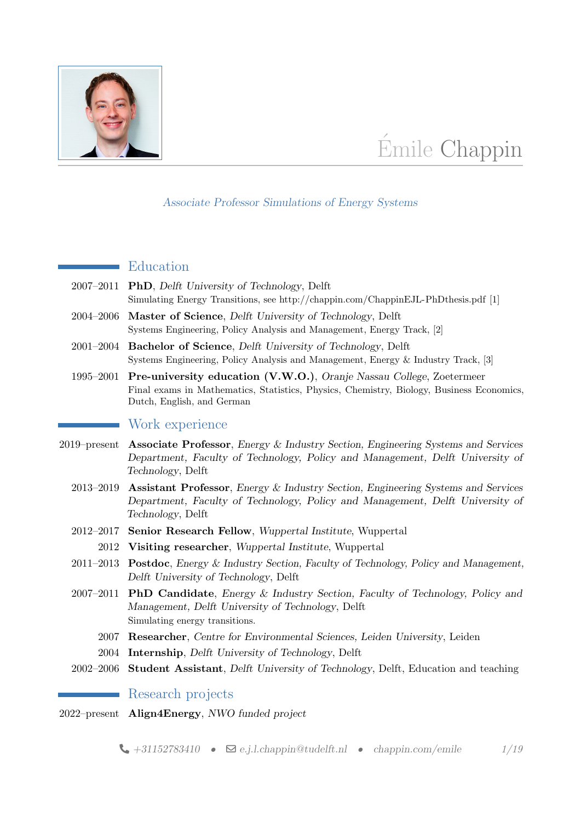

# Émile Chappin

#### Associate Professor Simulations of Energy Systems

### Education

- 2007–2011 PhD, Delft University of Technology, Delft Simulating Energy Transitions, see<http://chappin.com/ChappinEJL-PhDthesis.pdf> [\[1\]](#page-5-0)
- 2004–2006 Master of Science, Delft University of Technology, Delft Systems Engineering, Policy Analysis and Management, Energy Track, [\[2\]](#page-5-1)
- 2001–2004 Bachelor of Science, Delft University of Technology, Delft Systems Engineering, Policy Analysis and Management, Energy & Industry Track, [\[3\]](#page-5-2)
- 1995–2001 Pre-university education (V.W.O.), Oranje Nassau College, Zoetermeer Final exams in Mathematics, Statistics, Physics, Chemistry, Biology, Business Economics, Dutch, English, and German

### Work experience

- 2019–present Associate Professor, Energy & Industry Section, Engineering Systems and Services Department, Faculty of Technology, Policy and Management, Delft University of Technology, Delft
	- 2013–2019 Assistant Professor, Energy & Industry Section, Engineering Systems and Services Department, Faculty of Technology, Policy and Management, Delft University of Technology, Delft
	- 2012–2017 Senior Research Fellow, Wuppertal Institute, Wuppertal
		- 2012 Visiting researcher, Wuppertal Institute, Wuppertal
	- 2011–2013 Postdoc, Energy & Industry Section, Faculty of Technology, Policy and Management, Delft University of Technology, Delft
	- 2007–2011 PhD Candidate, Energy & Industry Section, Faculty of Technology, Policy and Management, Delft University of Technology, Delft Simulating energy transitions.
		- 2007 Researcher, Centre for Environmental Sciences, Leiden University, Leiden
		- 2004 Internship, Delft University of Technology, Delft
	- 2002–2006 Student Assistant, Delft University of Technology, Delft, Education and teaching

Research projects

2022–present Align4Energy, NWO funded project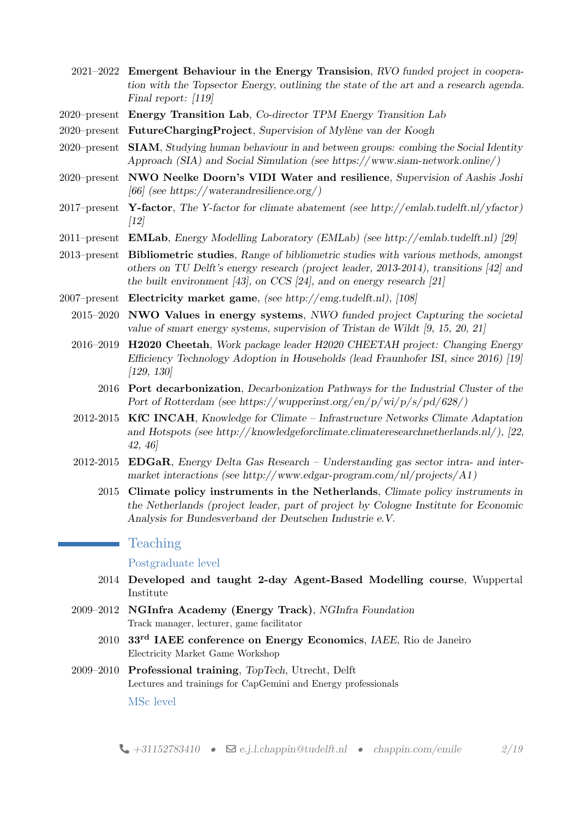- 2021–2022 Emergent Behaviour in the Energy Transision, RVO funded project in cooperation with the Topsector Energy, outlining the state of the art and a research agenda. Final report: [\[119\]](#page-15-1)
- 2020–present Energy Transition Lab, Co-director TPM Energy Transition Lab
- 2020–present FutureChargingProject, Supervision of Mylène van der Koogh
- 2020–present SIAM, Studying human behaviour in and between groups: combing the Social Identity Approach (SIA) and Social Simulation (see [https://www.siam-network.online/ \)](https://www.siam-network.online/)
- 2020–present NWO Neelke Doorn's VIDI Water and resilience, Supervision of Aashis Joshi [\[66\]](#page-11-0) (see https://waterandresilience.org/)
- 2017–present Y-factor, The Y-factor for climate abatement (see [http://emlab.tudelft.nl/yfactor\)](http://emlab.tudelft.nl/yfactor) [\[12\]](#page-6-0)
- 2011–present EMLab, Energy Modelling Laboratory (EMLab) (see [http://emlab.tudelft.nl\)](http://emlab.tudelft.nl) [\[29\]](#page-7-0)
- 2013–present Bibliometric studies, Range of bibliometric studies with various methods, amongst others on TU Delft's energy research (project leader, 2013-2014), transitions [\[42\]](#page-9-0) and the built environment [\[43\]](#page-9-1), on CCS [\[24\]](#page-7-1), and on energy research [\[21\]](#page-7-2)
- 2007–present Electricity market game, (see [http://emg.tudelft.nl\)](http://emg.tudelft.nl), [\[108\]](#page-14-0)
	- 2015–2020 NWO Values in energy systems, NWO funded project Capturing the societal value of smart energy systems, supervision of Tristan de Wildt [\[9,](#page-6-1) [15,](#page-6-2) [20,](#page-7-3) [21\]](#page-7-2)
	- 2016–2019 H2020 Cheetah, Work package leader H2020 CHEETAH project: Changing Energy Efficiency Technology Adoption in Households (lead Fraunhofer ISI, since 2016) [\[19\]](#page-6-3) [\[129,](#page-16-0) [130\]](#page-16-1)
		- 2016 Port decarbonization, Decarbonization Pathways for the Industrial Cluster of the Port of Rotterdam (see https://wupperinst.org/en/p/wi/p/s/pd/628/)
	- 2012-2015 KfC INCAH, Knowledge for Climate Infrastructure Networks Climate Adaptation and Hotspots (see [http://knowledgeforclimate.climateresearchnetherlands.nl/\)](http://knowledgeforclimate.climateresearchnetherlands.nl/), [\[22,](#page-7-4) [42,](#page-9-0) [46\]](#page-9-2)
	- 2012-2015 **EDGaR**, Energy Delta Gas Research Understanding gas sector intra- and intermarket interactions (see [http://www.edgar-program.com/nl/projects/A1\)](http://www.edgar-program.com/nl/projects/A1)
		- 2015 Climate policy instruments in the Netherlands, Climate policy instruments in the Netherlands (project leader, part of project by Cologne Institute for Economic Analysis for Bundesverband der Deutschen Industrie e.V.

# Teaching

Postgraduate level

- 2014 Developed and taught 2-day Agent-Based Modelling course, Wuppertal Institute
- 2009–2012 NGInfra Academy (Energy Track), NGInfra Foundation Track manager, lecturer, game facilitator
	- 2010 33rd IAEE conference on Energy Economics, IAEE, Rio de Janeiro Electricity Market Game Workshop
- 2009–2010 Professional training, TopTech, Utrecht, Delft Lectures and trainings for CapGemini and Energy professionals

MSc level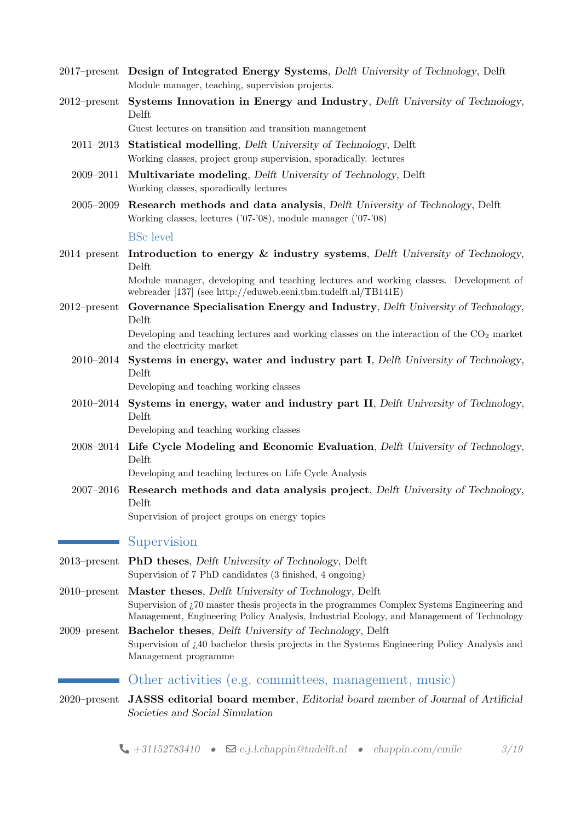- 2017–present Design of Integrated Energy Systems, Delft University of Technology, Delft Module manager, teaching, supervision projects.
- 2012–present Systems Innovation in Energy and Industry, Delft University of Technology, Delft

Guest lectures on transition and transition management

- 2011–2013 Statistical modelling, Delft University of Technology, Delft Working classes, project group supervision, sporadically. lectures
- 2009–2011 Multivariate modeling, Delft University of Technology, Delft Working classes, sporadically lectures
- 2005–2009 Research methods and data analysis, Delft University of Technology, Delft Working classes, lectures ('07-'08), module manager ('07-'08)

#### BSc level

2014–present Introduction to energy  $\&$  industry systems, Delft University of Technology, Delft

> Module manager, developing and teaching lectures and working classes. Development of webreader [\[137\]](#page-16-2) (see [http://eduweb.eeni.tbm.tudelft.nl/TB141E\)](http://eduweb.eeni.tbm.tudelft.nl/TB141E)

2012–present Governance Specialisation Energy and Industry, Delft University of Technology, Delft

> Developing and teaching lectures and working classes on the interaction of the  $CO<sub>2</sub>$  market and the electricity market

2010–2014 Systems in energy, water and industry part I, Delft University of Technology, Delft

Developing and teaching working classes

2010–2014 Systems in energy, water and industry part II, Delft University of Technology, Delft

Developing and teaching working classes

2008–2014 Life Cycle Modeling and Economic Evaluation, Delft University of Technology, Delft

Developing and teaching lectures on Life Cycle Analysis

 $2007-2016$  Research methods and data analysis project, Delft University of Technology, Delft

Supervision of project groups on energy topics

#### Supervision

- 2013–present PhD theses, Delft University of Technology, Delft Supervision of 7 PhD candidates (3 finished, 4 ongoing)
- 2010–present Master theses, Delft University of Technology, Delft Supervision of ¿70 master thesis projects in the programmes Complex Systems Engineering and Management, Engineering Policy Analysis, Industrial Ecology, and Management of Technology
- 2009–present Bachelor theses, Delft University of Technology, Delft Supervision of ¿40 bachelor thesis projects in the Systems Engineering Policy Analysis and Management programme

## Other activities (e.g. committees, management, music)

2020–present JASSS editorial board member, Editorial board member of Journal of Artificial Societies and Social Simulation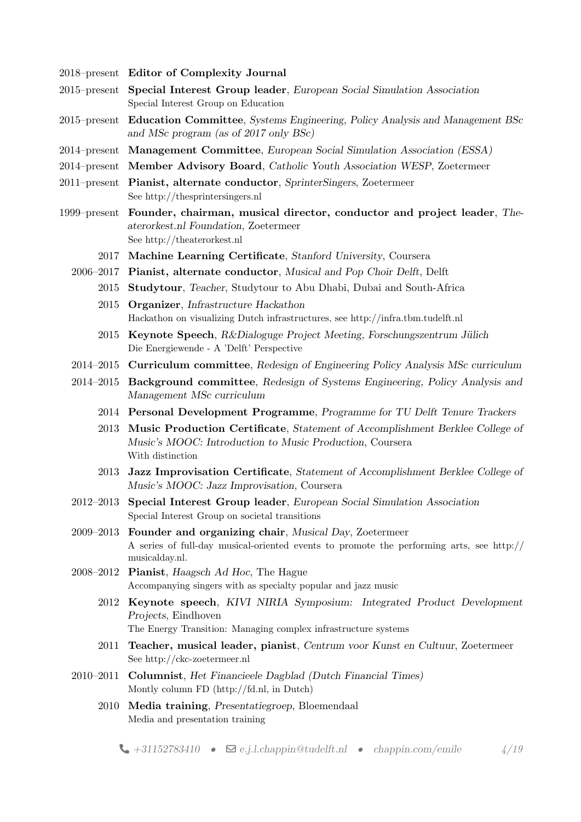- 2018–present Editor of Complexity Journal
- 2015–present Special Interest Group leader, European Social Simulation Association Special Interest Group on Education
- 2015–present Education Committee, Systems Engineering, Policy Analysis and Management BSc and MSc program (as of 2017 only BSc)
- 2014–present Management Committee, European Social Simulation Association (ESSA)
- 2014–present Member Advisory Board, Catholic Youth Association WESP, Zoetermeer
- 2011–present Pianist, alternate conductor, SprinterSingers, Zoetermeer See<http://thesprintersingers.nl>
- 1999–present Founder, chairman, musical director, conductor and project leader, Theaterorkest.nl Foundation, Zoetermeer See<http://theaterorkest.nl>
	- 2017 Machine Learning Certificate, Stanford University, Coursera
	- 2006–2017 Pianist, alternate conductor, Musical and Pop Choir Delft, Delft
		- 2015 Studytour, Teacher, Studytour to Abu Dhabi, Dubai and South-Africa
			- 2015 Organizer, Infrastructure Hackathon Hackathon on visualizing Dutch infrastructures, see<http://infra.tbm.tudelft.nl>
			- 2015 Keynote Speech, R&Dialoguge Project Meeting, Forschungszentrum Jülich Die Energiewende - A 'Delft' Perspective
	- 2014–2015 Curriculum committee, Redesign of Engineering Policy Analysis MSc curriculum
	- 2014–2015 Background committee, Redesign of Systems Engineering, Policy Analysis and Management MSc curriculum
		- 2014 Personal Development Programme, Programme for TU Delft Tenure Trackers
		- 2013 Music Production Certificate, Statement of Accomplishment Berklee College of Music's MOOC: Introduction to Music Production, Coursera With distinction
		- 2013 Jazz Improvisation Certificate, Statement of Accomplishment Berklee College of Music's MOOC: Jazz Improvisation, Coursera
	- 2012–2013 Special Interest Group leader, European Social Simulation Association Special Interest Group on societal transitions
	- 2009–2013 Founder and organizing chair, Musical Day, Zoetermeer A series of full-day musical-oriented events to promote the performing arts, see [http://](http://musicalday.nl) [musicalday.nl.](http://musicalday.nl)
	- 2008–2012 Pianist, Haagsch Ad Hoc, The Hague Accompanying singers with as specialty popular and jazz music
		- 2012 Keynote speech, KIVI NIRIA Symposium: Integrated Product Development Projects, Eindhoven
			- The Energy Transition: Managing complex infrastructure systems
		- 2011 Teacher, musical leader, pianist, Centrum voor Kunst en Cultuur, Zoetermeer See<http://ckc-zoetermeer.nl>
	- 2010–2011 Columnist, Het Financieele Dagblad (Dutch Financial Times) Montly column FD [\(http://fd.nl,](http://fd.nl) in Dutch)
		- 2010 Media training, Presentatiegroep, Bloemendaal Media and presentation training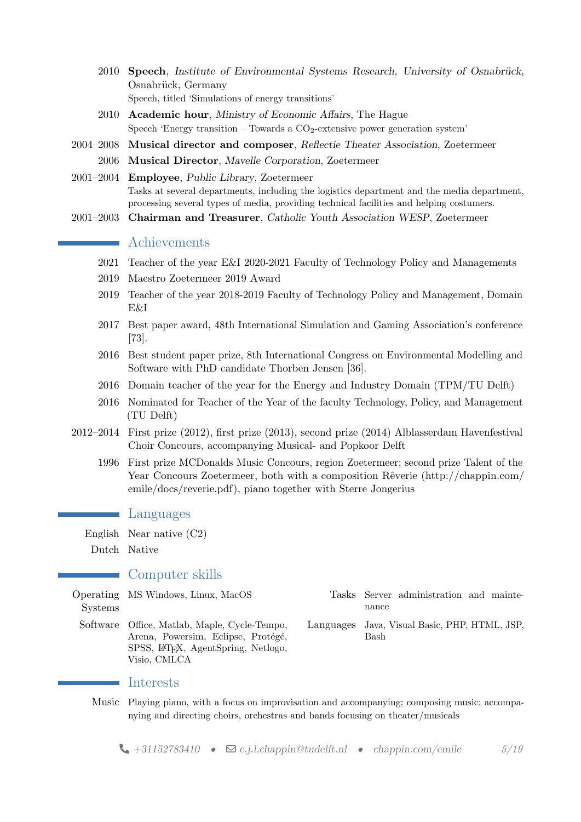- 2010 Speech, Institute of Environmental Systems Research, University of Osnabrück, Osnabrück, Germany Speech, titled 'Simulations of energy transitions'
- 2010 Academic hour, Ministry of Economic Affairs, The Hague Speech 'Energy transition – Towards a  $CO<sub>2</sub>$ -extensive power generation system'
- 2004–2008 Musical director and composer, Reflectie Theater Association, Zoetermeer 2006 Musical Director, Mavelle Corporation, Zoetermeer
- 2001–2004 Employee, Public Library, Zoetermeer Tasks at several departments, including the logistics department and the media department, processing several types of media, providing technical facilities and helping costumers.
- 2001–2003 Chairman and Treasurer, Catholic Youth Association WESP, Zoetermeer

# **Achievements**

- 2021 Teacher of the year E&I 2020-2021 Faculty of Technology Policy and Managements
- 2019 Maestro Zoetermeer 2019 Award
- 2019 Teacher of the year 2018-2019 Faculty of Technology Policy and Management, Domain E&I
- 2017 Best paper award, 48th International Simulation and Gaming Association's conference [\[73\]](#page-11-1).
- 2016 Best student paper prize, 8th International Congress on Environmental Modelling and Software with PhD candidate Thorben Jensen [\[36\]](#page-8-0).
- 2016 Domain teacher of the year for the Energy and Industry Domain (TPM/TU Delft)
- 2016 Nominated for Teacher of the Year of the faculty Technology, Policy, and Management (TU Delft)
- 2012–2014 First prize (2012), first prize (2013), second prize (2014) Alblasserdam Havenfestival Choir Concours, accompanying Musical- and Popkoor Delft
	- 1996 First prize MCDonalds Music Concours, region Zoetermeer; second prize Talent of the Year Concours Zoetermeer, both with a composition Rêverie [\(http://chappin.com/](http://chappin.com/emile/docs/reverie.pdf) [emile/docs/reverie.pdf\)](http://chappin.com/emile/docs/reverie.pdf), piano together with Sterre Jongerius

## **Languages**

English Near native (C2)

Dutch Native

#### Computer skills

|                | Operating MS Windows, Linux, MacOS                           |
|----------------|--------------------------------------------------------------|
| <b>Systems</b> |                                                              |
|                | Software Office, Matlab, Maple, Cycle-Tempo,                 |
|                | Arena, Powersim, Eclipse, Protégé,                           |
|                | SPSS, L <sup>A</sup> T <sub>F</sub> X, AgentSpring, Netlogo, |
|                | Visio, CMLCA                                                 |

- Tasks Server administration and maintenance
- Languages Java, Visual Basic, PHP, HTML, JSP, Bash

#### Interests

Music Playing piano, with a focus on improvisation and accompanying; composing music; accompanying and directing choirs, orchestras and bands focusing on theater/musicals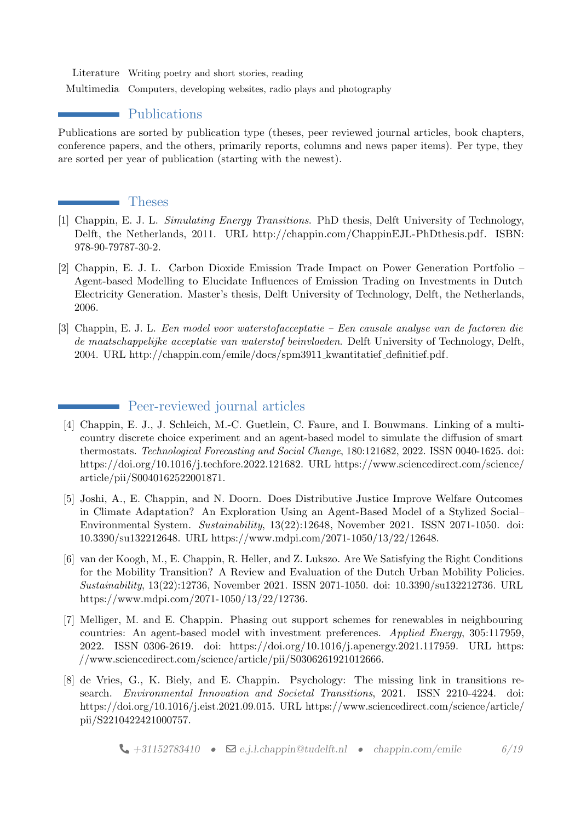Literature Writing poetry and short stories, reading

Multimedia Computers, developing websites, radio plays and photography

## • Publications

Publications are sorted by publication type (theses, peer reviewed journal articles, book chapters, conference papers, and the others, primarily reports, columns and news paper items). Per type, they are sorted per year of publication (starting with the newest).

### Theses

- <span id="page-5-0"></span>[1] Chappin, E. J. L. Simulating Energy Transitions. PhD thesis, Delft University of Technology, Delft, the Netherlands, 2011. URL [http://chappin.com/ChappinEJL-PhDthesis.pdf.](http://chappin.com/ChappinEJL-PhDthesis.pdf) ISBN: 978-90-79787-30-2.
- <span id="page-5-1"></span>[2] Chappin, E. J. L. Carbon Dioxide Emission Trade Impact on Power Generation Portfolio – Agent-based Modelling to Elucidate Influences of Emission Trading on Investments in Dutch Electricity Generation. Master's thesis, Delft University of Technology, Delft, the Netherlands, 2006.
- <span id="page-5-2"></span>[3] Chappin, E. J. L. Een model voor waterstofacceptatie – Een causale analyse van de factoren die de maatschappelijke acceptatie van waterstof beinvloeden. Delft University of Technology, Delft, 2004. URL [http://chappin.com/emile/docs/spm3911](http://chappin.com/emile/docs/spm3911_kwantitatief_definitief.pdf) kwantitatief definitief.pdf.

# Peer-reviewed journal articles

- [4] Chappin, E. J., J. Schleich, M.-C. Guetlein, C. Faure, and I. Bouwmans. Linking of a multicountry discrete choice experiment and an agent-based model to simulate the diffusion of smart thermostats. Technological Forecasting and Social Change, 180:121682, 2022. ISSN 0040-1625. doi: https://doi.org/10.1016/j.techfore.2022.121682. URL [https://www.sciencedirect.com/science/](https://www.sciencedirect.com/science/article/pii/S0040162522001871) [article/pii/S0040162522001871.](https://www.sciencedirect.com/science/article/pii/S0040162522001871)
- [5] Joshi, A., E. Chappin, and N. Doorn. Does Distributive Justice Improve Welfare Outcomes in Climate Adaptation? An Exploration Using an Agent-Based Model of a Stylized Social– Environmental System. Sustainability, 13(22):12648, November 2021. ISSN 2071-1050. doi: 10.3390/su132212648. URL [https://www.mdpi.com/2071-1050/13/22/12648.](https://www.mdpi.com/2071-1050/13/22/12648)
- [6] van der Koogh, M., E. Chappin, R. Heller, and Z. Lukszo. Are We Satisfying the Right Conditions for the Mobility Transition? A Review and Evaluation of the Dutch Urban Mobility Policies. Sustainability, 13(22):12736, November 2021. ISSN 2071-1050. doi: 10.3390/su132212736. URL [https://www.mdpi.com/2071-1050/13/22/12736.](https://www.mdpi.com/2071-1050/13/22/12736)
- [7] Melliger, M. and E. Chappin. Phasing out support schemes for renewables in neighbouring countries: An agent-based model with investment preferences. Applied Energy, 305:117959, 2022. ISSN 0306-2619. doi: https://doi.org/10.1016/j.apenergy.2021.117959. URL [https:](https://www.sciencedirect.com/science/article/pii/S0306261921012666) [//www.sciencedirect.com/science/article/pii/S0306261921012666.](https://www.sciencedirect.com/science/article/pii/S0306261921012666)
- [8] de Vries, G., K. Biely, and E. Chappin. Psychology: The missing link in transitions research. Environmental Innovation and Societal Transitions, 2021. ISSN 2210-4224. doi: https://doi.org/10.1016/j.eist.2021.09.015. URL [https://www.sciencedirect.com/science/article/](https://www.sciencedirect.com/science/article/pii/S2210422421000757) [pii/S2210422421000757.](https://www.sciencedirect.com/science/article/pii/S2210422421000757)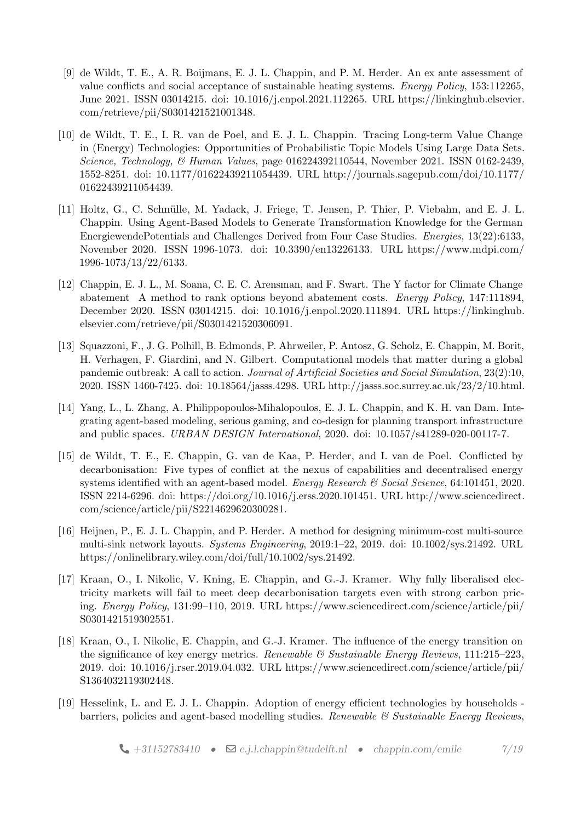- <span id="page-6-1"></span>[9] de Wildt, T. E., A. R. Boijmans, E. J. L. Chappin, and P. M. Herder. An ex ante assessment of value conflicts and social acceptance of sustainable heating systems. Energy Policy, 153:112265, June 2021. ISSN 03014215. doi: 10.1016/j.enpol.2021.112265. URL [https://linkinghub.elsevier.](https://linkinghub.elsevier.com/retrieve/pii/S0301421521001348) [com/retrieve/pii/S0301421521001348.](https://linkinghub.elsevier.com/retrieve/pii/S0301421521001348)
- [10] de Wildt, T. E., I. R. van de Poel, and E. J. L. Chappin. Tracing Long-term Value Change in (Energy) Technologies: Opportunities of Probabilistic Topic Models Using Large Data Sets. Science, Technology, & Human Values, page 016224392110544, November 2021. ISSN 0162-2439, 1552-8251. doi: 10.1177/01622439211054439. URL [http://journals.sagepub.com/doi/10.1177/](http://journals.sagepub.com/doi/10.1177/01622439211054439) [01622439211054439.](http://journals.sagepub.com/doi/10.1177/01622439211054439)
- [11] Holtz, G., C. Schnülle, M. Yadack, J. Friege, T. Jensen, P. Thier, P. Viebahn, and E. J. L. Chappin. Using Agent-Based Models to Generate Transformation Knowledge for the German EnergiewendePotentials and Challenges Derived from Four Case Studies. Energies, 13(22):6133, November 2020. ISSN 1996-1073. doi: 10.3390/en13226133. URL [https://www.mdpi.com/](https://www.mdpi.com/1996-1073/13/22/6133) [1996-1073/13/22/6133.](https://www.mdpi.com/1996-1073/13/22/6133)
- <span id="page-6-0"></span>[12] Chappin, E. J. L., M. Soana, C. E. C. Arensman, and F. Swart. The Y factor for Climate Change abatement A method to rank options beyond abatement costs. Energy Policy, 147:111894, December 2020. ISSN 03014215. doi: 10.1016/j.enpol.2020.111894. URL [https://linkinghub.](https://linkinghub.elsevier.com/retrieve/pii/S0301421520306091) [elsevier.com/retrieve/pii/S0301421520306091.](https://linkinghub.elsevier.com/retrieve/pii/S0301421520306091)
- [13] Squazzoni, F., J. G. Polhill, B. Edmonds, P. Ahrweiler, P. Antosz, G. Scholz, E. Chappin, M. Borit, H. Verhagen, F. Giardini, and N. Gilbert. Computational models that matter during a global pandemic outbreak: A call to action. Journal of Artificial Societies and Social Simulation, 23(2):10, 2020. ISSN 1460-7425. doi: 10.18564/jasss.4298. URL [http://jasss.soc.surrey.ac.uk/23/2/10.html.](http://jasss.soc.surrey.ac.uk/23/2/10.html)
- [14] Yang, L., L. Zhang, A. Philippopoulos-Mihalopoulos, E. J. L. Chappin, and K. H. van Dam. Integrating agent-based modeling, serious gaming, and co-design for planning transport infrastructure and public spaces. URBAN DESIGN International, 2020. doi: 10.1057/s41289-020-00117-7.
- <span id="page-6-2"></span>[15] de Wildt, T. E., E. Chappin, G. van de Kaa, P. Herder, and I. van de Poel. Conflicted by decarbonisation: Five types of conflict at the nexus of capabilities and decentralised energy systems identified with an agent-based model. Energy Research & Social Science, 64:101451, 2020. ISSN 2214-6296. doi: https://doi.org/10.1016/j.erss.2020.101451. URL [http://www.sciencedirect.](http://www.sciencedirect.com/science/article/pii/S2214629620300281) [com/science/article/pii/S2214629620300281.](http://www.sciencedirect.com/science/article/pii/S2214629620300281)
- [16] Heijnen, P., E. J. L. Chappin, and P. Herder. A method for designing minimum-cost multi-source multi-sink network layouts. Systems Engineering, 2019:1–22, 2019. doi: 10.1002/sys.21492. URL [https://onlinelibrary.wiley.com/doi/full/10.1002/sys.21492.](https://onlinelibrary.wiley.com/doi/full/10.1002/sys.21492)
- [17] Kraan, O., I. Nikolic, V. Kning, E. Chappin, and G.-J. Kramer. Why fully liberalised electricity markets will fail to meet deep decarbonisation targets even with strong carbon pricing. Energy Policy, 131:99–110, 2019. URL [https://www.sciencedirect.com/science/article/pii/](https://www.sciencedirect.com/science/article/pii/S0301421519302551) [S0301421519302551.](https://www.sciencedirect.com/science/article/pii/S0301421519302551)
- [18] Kraan, O., I. Nikolic, E. Chappin, and G.-J. Kramer. The influence of the energy transition on the significance of key energy metrics. Renewable  $\mathscr B$  Sustainable Energy Reviews, 111:215–223, 2019. doi: 10.1016/j.rser.2019.04.032. URL [https://www.sciencedirect.com/science/article/pii/](https://www.sciencedirect.com/science/article/pii/S1364032119302448) [S1364032119302448.](https://www.sciencedirect.com/science/article/pii/S1364032119302448)
- <span id="page-6-3"></span>[19] Hesselink, L. and E. J. L. Chappin. Adoption of energy efficient technologies by households barriers, policies and agent-based modelling studies. Renewable  $\mathcal{C}$  Sustainable Energy Reviews,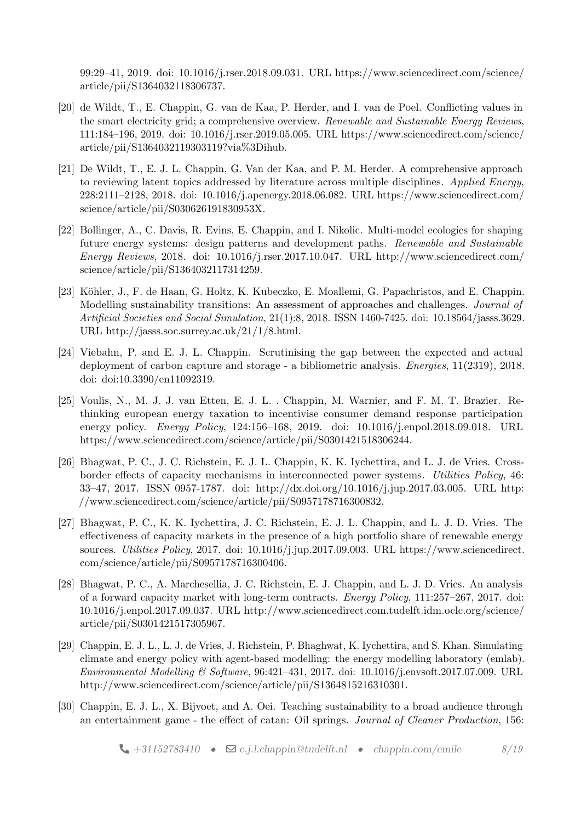99:29–41, 2019. doi: 10.1016/j.rser.2018.09.031. URL [https://www.sciencedirect.com/science/](https://www.sciencedirect.com/science/article/pii/S1364032118306737) [article/pii/S1364032118306737.](https://www.sciencedirect.com/science/article/pii/S1364032118306737)

- <span id="page-7-3"></span>[20] de Wildt, T., E. Chappin, G. van de Kaa, P. Herder, and I. van de Poel. Conflicting values in the smart electricity grid; a comprehensive overview. Renewable and Sustainable Energy Reviews, 111:184–196, 2019. doi: 10.1016/j.rser.2019.05.005. URL [https://www.sciencedirect.com/science/](https://www.sciencedirect.com/science/article/pii/S1364032119303119?via%3Dihub) [article/pii/S1364032119303119?via%3Dihub.](https://www.sciencedirect.com/science/article/pii/S1364032119303119?via%3Dihub)
- <span id="page-7-2"></span>[21] De Wildt, T., E. J. L. Chappin, G. Van der Kaa, and P. M. Herder. A comprehensive approach to reviewing latent topics addressed by literature across multiple disciplines. Applied Energy, 228:2111–2128, 2018. doi: 10.1016/j.apenergy.2018.06.082. URL [https://www.sciencedirect.com/](https://www.sciencedirect.com/science/article/pii/S030626191830953X) [science/article/pii/S030626191830953X.](https://www.sciencedirect.com/science/article/pii/S030626191830953X)
- <span id="page-7-4"></span>[22] Bollinger, A., C. Davis, R. Evins, E. Chappin, and I. Nikolic. Multi-model ecologies for shaping future energy systems: design patterns and development paths. Renewable and Sustainable Energy Reviews, 2018. doi:  $10.1016$ /j.rser.2017.10.047. URL [http://www.sciencedirect.com/](http://www.sciencedirect.com/science/article/pii/S1364032117314259) [science/article/pii/S1364032117314259.](http://www.sciencedirect.com/science/article/pii/S1364032117314259)
- [23] Köhler, J., F. de Haan, G. Holtz, K. Kubeczko, E. Moallemi, G. Papachristos, and E. Chappin. Modelling sustainability transitions: An assessment of approaches and challenges. Journal of Artificial Societies and Social Simulation, 21(1):8, 2018. ISSN 1460-7425. doi: 10.18564/jasss.3629. URL [http://jasss.soc.surrey.ac.uk/21/1/8.html.](http://jasss.soc.surrey.ac.uk/21/1/8.html)
- <span id="page-7-1"></span>[24] Viebahn, P. and E. J. L. Chappin. Scrutinising the gap between the expected and actual deployment of carbon capture and storage - a bibliometric analysis. Energies, 11(2319), 2018. doi: doi:10.3390/en11092319.
- [25] Voulis, N., M. J. J. van Etten, E. J. L. . Chappin, M. Warnier, and F. M. T. Brazier. Rethinking european energy taxation to incentivise consumer demand response participation energy policy. *Energy Policy*, 124:156–168, 2019. doi: 10.1016/j.enpol.2018.09.018. URL [https://www.sciencedirect.com/science/article/pii/S0301421518306244.](https://www.sciencedirect.com/science/article/pii/S0301421518306244)
- [26] Bhagwat, P. C., J. C. Richstein, E. J. L. Chappin, K. K. Iychettira, and L. J. de Vries. Crossborder effects of capacity mechanisms in interconnected power systems. Utilities Policy, 46: 33–47, 2017. ISSN 0957-1787. doi: http://dx.doi.org/10.1016/j.jup.2017.03.005. URL [http:](http://www.sciencedirect.com/science/article/pii/S0957178716300832) [//www.sciencedirect.com/science/article/pii/S0957178716300832.](http://www.sciencedirect.com/science/article/pii/S0957178716300832)
- [27] Bhagwat, P. C., K. K. Iychettira, J. C. Richstein, E. J. L. Chappin, and L. J. D. Vries. The effectiveness of capacity markets in the presence of a high portfolio share of renewable energy sources. Utilities Policy, 2017. doi: 10.1016/j.jup.2017.09.003. URL [https://www.sciencedirect.](https://www.sciencedirect.com/science/article/pii/S0957178716300406) [com/science/article/pii/S0957178716300406.](https://www.sciencedirect.com/science/article/pii/S0957178716300406)
- [28] Bhagwat, P. C., A. Marchesellia, J. C. Richstein, E. J. Chappin, and L. J. D. Vries. An analysis of a forward capacity market with long-term contracts. Energy Policy, 111:257–267, 2017. doi: 10.1016/j.enpol.2017.09.037. URL [http://www.sciencedirect.com.tudelft.idm.oclc.org/science/](http://www.sciencedirect.com.tudelft.idm.oclc.org/science/article/pii/S0301421517305967) [article/pii/S0301421517305967.](http://www.sciencedirect.com.tudelft.idm.oclc.org/science/article/pii/S0301421517305967)
- <span id="page-7-0"></span>[29] Chappin, E. J. L., L. J. de Vries, J. Richstein, P. Bhaghwat, K. Iychettira, and S. Khan. Simulating climate and energy policy with agent-based modelling: the energy modelling laboratory (emlab). Environmental Modelling & Software, 96:421–431, 2017. doi: 10.1016/j.envsoft.2017.07.009. URL [http://www.sciencedirect.com/science/article/pii/S1364815216310301.](http://www.sciencedirect.com/science/article/pii/S1364815216310301)
- [30] Chappin, E. J. L., X. Bijvoet, and A. Oei. Teaching sustainability to a broad audience through an entertainment game - the effect of catan: Oil springs. Journal of Cleaner Production, 156: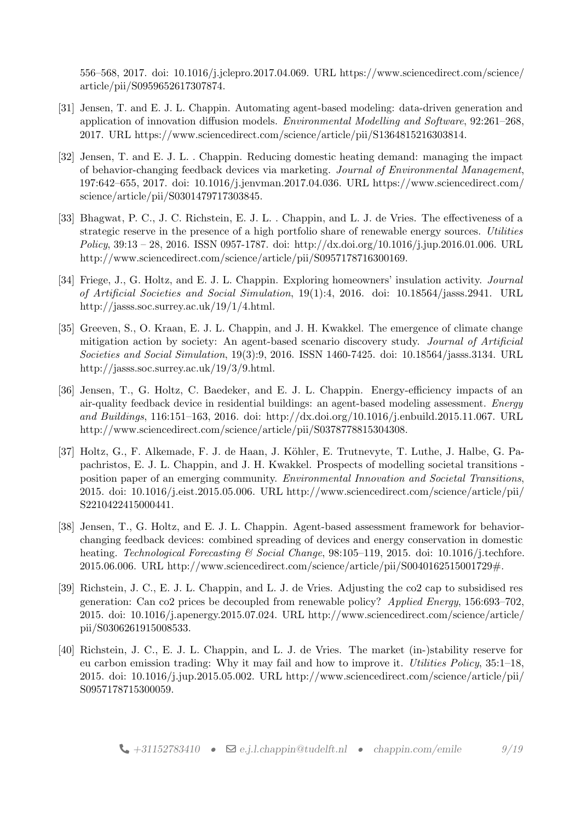556–568, 2017. doi: 10.1016/j.jclepro.2017.04.069. URL [https://www.sciencedirect.com/science/](https://www.sciencedirect.com/science/article/pii/S0959652617307874) [article/pii/S0959652617307874.](https://www.sciencedirect.com/science/article/pii/S0959652617307874)

- [31] Jensen, T. and E. J. L. Chappin. Automating agent-based modeling: data-driven generation and application of innovation diffusion models. Environmental Modelling and Software, 92:261–268, 2017. URL [https://www.sciencedirect.com/science/article/pii/S1364815216303814.](https://www.sciencedirect.com/science/article/pii/S1364815216303814)
- [32] Jensen, T. and E. J. L. . Chappin. Reducing domestic heating demand: managing the impact of behavior-changing feedback devices via marketing. Journal of Environmental Management, 197:642–655, 2017. doi: 10.1016/j.jenvman.2017.04.036. URL [https://www.sciencedirect.com/](https://www.sciencedirect.com/science/article/pii/S0301479717303845) [science/article/pii/S0301479717303845.](https://www.sciencedirect.com/science/article/pii/S0301479717303845)
- [33] Bhagwat, P. C., J. C. Richstein, E. J. L. . Chappin, and L. J. de Vries. The effectiveness of a strategic reserve in the presence of a high portfolio share of renewable energy sources. Utilities Policy, 39:13 – 28, 2016. ISSN 0957-1787. doi: http://dx.doi.org/10.1016/j.jup.2016.01.006. URL [http://www.sciencedirect.com/science/article/pii/S0957178716300169.](http://www.sciencedirect.com/science/article/pii/S0957178716300169)
- [34] Friege, J., G. Holtz, and E. J. L. Chappin. Exploring homeowners' insulation activity. Journal of Artificial Societies and Social Simulation, 19(1):4, 2016. doi: 10.18564/jasss.2941. URL [http://jasss.soc.surrey.ac.uk/19/1/4.html.](http://jasss.soc.surrey.ac.uk/19/1/4.html)
- [35] Greeven, S., O. Kraan, E. J. L. Chappin, and J. H. Kwakkel. The emergence of climate change mitigation action by society: An agent-based scenario discovery study. Journal of Artificial Societies and Social Simulation, 19(3):9, 2016. ISSN 1460-7425. doi: 10.18564/jasss.3134. URL [http://jasss.soc.surrey.ac.uk/19/3/9.html.](http://jasss.soc.surrey.ac.uk/19/3/9.html)
- <span id="page-8-0"></span>[36] Jensen, T., G. Holtz, C. Baedeker, and E. J. L. Chappin. Energy-efficiency impacts of an air-quality feedback device in residential buildings: an agent-based modeling assessment. Energy and Buildings, 116:151–163, 2016. doi: http://dx.doi.org/10.1016/j.enbuild.2015.11.067. URL [http://www.sciencedirect.com/science/article/pii/S0378778815304308.](http://www.sciencedirect.com/science/article/pii/S0378778815304308)
- [37] Holtz, G., F. Alkemade, F. J. de Haan, J. Köhler, E. Trutnevyte, T. Luthe, J. Halbe, G. Papachristos, E. J. L. Chappin, and J. H. Kwakkel. Prospects of modelling societal transitions position paper of an emerging community. Environmental Innovation and Societal Transitions, 2015. doi: 10.1016/j.eist.2015.05.006. URL [http://www.sciencedirect.com/science/article/pii/](http://www.sciencedirect.com/science/article/pii/S2210422415000441) [S2210422415000441.](http://www.sciencedirect.com/science/article/pii/S2210422415000441)
- [38] Jensen, T., G. Holtz, and E. J. L. Chappin. Agent-based assessment framework for behaviorchanging feedback devices: combined spreading of devices and energy conservation in domestic heating. Technological Forecasting & Social Change, 98:105-119, 2015. doi: 10.1016/j.techfore. 2015.06.006. URL [http://www.sciencedirect.com/science/article/pii/S0040162515001729#.](http://www.sciencedirect.com/science/article/pii/S0040162515001729#)
- [39] Richstein, J. C., E. J. L. Chappin, and L. J. de Vries. Adjusting the co2 cap to subsidised res generation: Can co2 prices be decoupled from renewable policy? Applied Energy, 156:693–702, 2015. doi: 10.1016/j.apenergy.2015.07.024. URL [http://www.sciencedirect.com/science/article/](http://www.sciencedirect.com/science/article/pii/S0306261915008533) [pii/S0306261915008533.](http://www.sciencedirect.com/science/article/pii/S0306261915008533)
- [40] Richstein, J. C., E. J. L. Chappin, and L. J. de Vries. The market (in-)stability reserve for eu carbon emission trading: Why it may fail and how to improve it. Utilities Policy, 35:1–18, 2015. doi:  $10.1016/j$ .jup.2015.05.002. URL [http://www.sciencedirect.com/science/article/pii/](http://www.sciencedirect.com/science/article/pii/S0957178715300059) [S0957178715300059.](http://www.sciencedirect.com/science/article/pii/S0957178715300059)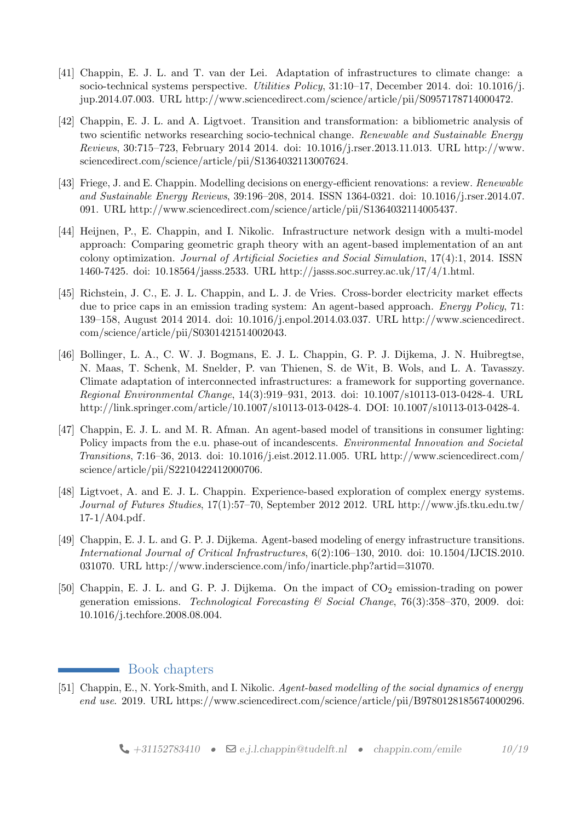- [41] Chappin, E. J. L. and T. van der Lei. Adaptation of infrastructures to climate change: a socio-technical systems perspective. *Utilities Policy*, 31:10–17, December 2014. doi: 10.1016/j. jup.2014.07.003. URL [http://www.sciencedirect.com/science/article/pii/S0957178714000472.](http://www.sciencedirect.com/science/article/pii/S0957178714000472)
- <span id="page-9-0"></span>[42] Chappin, E. J. L. and A. Ligtvoet. Transition and transformation: a bibliometric analysis of two scientific networks researching socio-technical change. Renewable and Sustainable Energy Reviews, 30:715–723, February 2014 2014. doi: 10.1016/j.rser.2013.11.013. URL [http://www.](http://www.sciencedirect.com/science/article/pii/S1364032113007624) [sciencedirect.com/science/article/pii/S1364032113007624.](http://www.sciencedirect.com/science/article/pii/S1364032113007624)
- <span id="page-9-1"></span>[43] Friege, J. and E. Chappin. Modelling decisions on energy-efficient renovations: a review. Renewable and Sustainable Energy Reviews, 39:196–208, 2014. ISSN 1364-0321. doi: 10.1016/j.rser.2014.07. 091. URL [http://www.sciencedirect.com/science/article/pii/S1364032114005437.](http://www.sciencedirect.com/science/article/pii/S1364032114005437)
- [44] Heijnen, P., E. Chappin, and I. Nikolic. Infrastructure network design with a multi-model approach: Comparing geometric graph theory with an agent-based implementation of an ant colony optimization. Journal of Artificial Societies and Social Simulation, 17(4):1, 2014. ISSN 1460-7425. doi: 10.18564/jasss.2533. URL [http://jasss.soc.surrey.ac.uk/17/4/1.html.](http://jasss.soc.surrey.ac.uk/17/4/1.html)
- [45] Richstein, J. C., E. J. L. Chappin, and L. J. de Vries. Cross-border electricity market effects due to price caps in an emission trading system: An agent-based approach. *Energy Policy*, 71: 139–158, August 2014 2014. doi: 10.1016/j.enpol.2014.03.037. URL [http://www.sciencedirect.](http://www.sciencedirect.com/science/article/pii/S0301421514002043) [com/science/article/pii/S0301421514002043.](http://www.sciencedirect.com/science/article/pii/S0301421514002043)
- <span id="page-9-2"></span>[46] Bollinger, L. A., C. W. J. Bogmans, E. J. L. Chappin, G. P. J. Dijkema, J. N. Huibregtse, N. Maas, T. Schenk, M. Snelder, P. van Thienen, S. de Wit, B. Wols, and L. A. Tavasszy. Climate adaptation of interconnected infrastructures: a framework for supporting governance. Regional Environmental Change, 14(3):919–931, 2013. doi: 10.1007/s10113-013-0428-4. URL [http://link.springer.com/article/10.1007/s10113-013-0428-4.](http://link.springer.com/article/10.1007/s10113-013-0428-4) DOI: 10.1007/s10113-013-0428-4.
- [47] Chappin, E. J. L. and M. R. Afman. An agent-based model of transitions in consumer lighting: Policy impacts from the e.u. phase-out of incandescents. *Environmental Innovation and Societal* Transitions, 7:16–36, 2013. doi: 10.1016/j.eist.2012.11.005. URL [http://www.sciencedirect.com/](http://www.sciencedirect.com/science/article/pii/S2210422412000706) [science/article/pii/S2210422412000706.](http://www.sciencedirect.com/science/article/pii/S2210422412000706)
- [48] Ligtvoet, A. and E. J. L. Chappin. Experience-based exploration of complex energy systems. Journal of Futures Studies, 17(1):57–70, September 2012 2012. URL [http://www.jfs.tku.edu.tw/](http://www.jfs.tku.edu.tw/17-1/A04.pdf) [17-1/A04.pdf.](http://www.jfs.tku.edu.tw/17-1/A04.pdf)
- [49] Chappin, E. J. L. and G. P. J. Dijkema. Agent-based modeling of energy infrastructure transitions. International Journal of Critical Infrastructures, 6(2):106–130, 2010. doi: 10.1504/IJCIS.2010. 031070. URL [http://www.inderscience.com/info/inarticle.php?artid=31070.](http://www.inderscience.com/info/inarticle.php?artid=31070)
- [50] Chappin, E. J. L. and G. P. J. Dijkema. On the impact of  $CO<sub>2</sub>$  emission-trading on power generation emissions. Technological Forecasting  $\mathcal C$  Social Change, 76(3):358–370, 2009. doi: 10.1016/j.techfore.2008.08.004.

## **Book chapters**

[51] Chappin, E., N. York-Smith, and I. Nikolic. Agent-based modelling of the social dynamics of energy end use. 2019. URL [https://www.sciencedirect.com/science/article/pii/B9780128185674000296.](https://www.sciencedirect.com/science/article/pii/B9780128185674000296)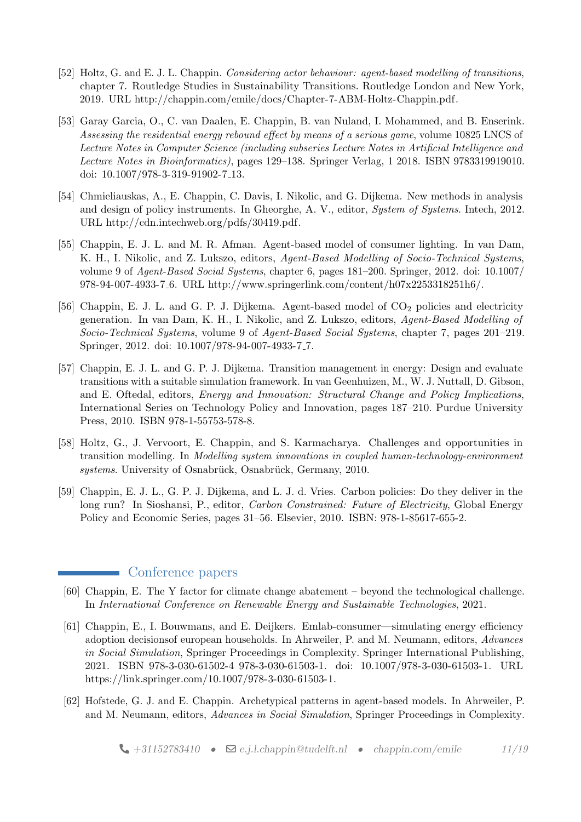- [52] Holtz, G. and E. J. L. Chappin. Considering actor behaviour: agent-based modelling of transitions, chapter 7. Routledge Studies in Sustainability Transitions. Routledge London and New York, 2019. URL [http://chappin.com/emile/docs/Chapter-7-ABM-Holtz-Chappin.pdf.](http://chappin.com/emile/docs/Chapter-7-ABM-Holtz-Chappin.pdf)
- [53] Garay Garcia, O., C. van Daalen, E. Chappin, B. van Nuland, I. Mohammed, and B. Enserink. Assessing the residential energy rebound effect by means of a serious game, volume 10825 LNCS of Lecture Notes in Computer Science (including subseries Lecture Notes in Artificial Intelligence and Lecture Notes in Bioinformatics), pages 129–138. Springer Verlag, 1 2018. ISBN 9783319919010. doi: 10.1007/978-3-319-91902-7 13.
- [54] Chmieliauskas, A., E. Chappin, C. Davis, I. Nikolic, and G. Dijkema. New methods in analysis and design of policy instruments. In Gheorghe, A. V., editor, System of Systems. Intech, 2012. URL [http://cdn.intechweb.org/pdfs/30419.pdf.](http://cdn.intechweb.org/pdfs/30419.pdf)
- [55] Chappin, E. J. L. and M. R. Afman. Agent-based model of consumer lighting. In van Dam, K. H., I. Nikolic, and Z. Lukszo, editors, Agent-Based Modelling of Socio-Technical Systems, volume 9 of Agent-Based Social Systems, chapter 6, pages 181–200. Springer, 2012. doi: 10.1007/ 978-94-007-4933-7 6. URL [http://www.springerlink.com/content/h07x2253318251h6/.](http://www.springerlink.com/content/h07x2253318251h6/)
- [56] Chappin, E. J. L. and G. P. J. Dijkema. Agent-based model of  $CO<sub>2</sub>$  policies and electricity generation. In van Dam, K. H., I. Nikolic, and Z. Lukszo, editors, Agent-Based Modelling of Socio-Technical Systems, volume 9 of Agent-Based Social Systems, chapter 7, pages 201–219. Springer, 2012. doi: 10.1007/978-94-007-4933-7 7.
- [57] Chappin, E. J. L. and G. P. J. Dijkema. Transition management in energy: Design and evaluate transitions with a suitable simulation framework. In van Geenhuizen, M., W. J. Nuttall, D. Gibson, and E. Oftedal, editors, Energy and Innovation: Structural Change and Policy Implications, International Series on Technology Policy and Innovation, pages 187–210. Purdue University Press, 2010. ISBN 978-1-55753-578-8.
- [58] Holtz, G., J. Vervoort, E. Chappin, and S. Karmacharya. Challenges and opportunities in transition modelling. In Modelling system innovations in coupled human-technology-environment systems. University of Osnabrück, Osnabrück, Germany, 2010.
- [59] Chappin, E. J. L., G. P. J. Dijkema, and L. J. d. Vries. Carbon policies: Do they deliver in the long run? In Sioshansi, P., editor, Carbon Constrained: Future of Electricity, Global Energy Policy and Economic Series, pages 31–56. Elsevier, 2010. ISBN: 978-1-85617-655-2.

## Conference papers

- [60] Chappin, E. The Y factor for climate change abatement beyond the technological challenge. In International Conference on Renewable Energy and Sustainable Technologies, 2021.
- [61] Chappin, E., I. Bouwmans, and E. Deijkers. Emlab-consumer—simulating energy efficiency adoption decisionsof european households. In Ahrweiler, P. and M. Neumann, editors, Advances in Social Simulation, Springer Proceedings in Complexity. Springer International Publishing, 2021. ISBN 978-3-030-61502-4 978-3-030-61503-1. doi: 10.1007/978-3-030-61503-1. URL [https://link.springer.com/10.1007/978-3-030-61503-1.](https://link.springer.com/10.1007/978-3-030-61503-1)
- [62] Hofstede, G. J. and E. Chappin. Archetypical patterns in agent-based models. In Ahrweiler, P. and M. Neumann, editors, Advances in Social Simulation, Springer Proceedings in Complexity.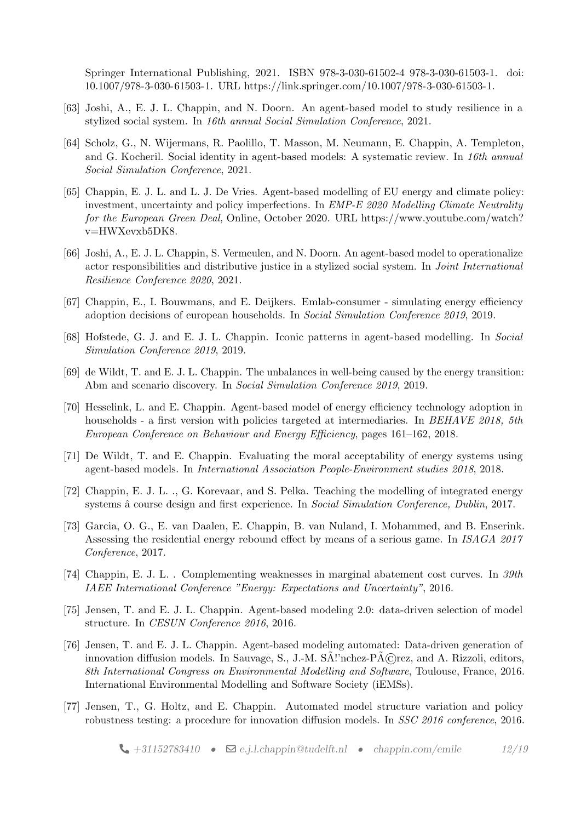Springer International Publishing, 2021. ISBN 978-3-030-61502-4 978-3-030-61503-1. doi: 10.1007/978-3-030-61503-1. URL [https://link.springer.com/10.1007/978-3-030-61503-1.](https://link.springer.com/10.1007/978-3-030-61503-1)

- [63] Joshi, A., E. J. L. Chappin, and N. Doorn. An agent-based model to study resilience in a stylized social system. In 16th annual Social Simulation Conference, 2021.
- [64] Scholz, G., N. Wijermans, R. Paolillo, T. Masson, M. Neumann, E. Chappin, A. Templeton, and G. Kocheril. Social identity in agent-based models: A systematic review. In 16th annual Social Simulation Conference, 2021.
- [65] Chappin, E. J. L. and L. J. De Vries. Agent-based modelling of EU energy and climate policy: investment, uncertainty and policy imperfections. In EMP-E 2020 Modelling Climate Neutrality for the European Green Deal, Online, October 2020. URL [https://www.youtube.com/watch?](https://www.youtube.com/watch?v=HWXevxb5DK8) [v=HWXevxb5DK8.](https://www.youtube.com/watch?v=HWXevxb5DK8)
- <span id="page-11-0"></span>[66] Joshi, A., E. J. L. Chappin, S. Vermeulen, and N. Doorn. An agent-based model to operationalize actor responsibilities and distributive justice in a stylized social system. In *Joint International* Resilience Conference 2020, 2021.
- [67] Chappin, E., I. Bouwmans, and E. Deijkers. Emlab-consumer simulating energy efficiency adoption decisions of european households. In Social Simulation Conference 2019, 2019.
- [68] Hofstede, G. J. and E. J. L. Chappin. Iconic patterns in agent-based modelling. In Social Simulation Conference 2019, 2019.
- [69] de Wildt, T. and E. J. L. Chappin. The unbalances in well-being caused by the energy transition: Abm and scenario discovery. In Social Simulation Conference 2019, 2019.
- [70] Hesselink, L. and E. Chappin. Agent-based model of energy efficiency technology adoption in households - a first version with policies targeted at intermediaries. In BEHAVE 2018, 5th European Conference on Behaviour and Energy Efficiency, pages 161–162, 2018.
- [71] De Wildt, T. and E. Chappin. Evaluating the moral acceptability of energy systems using agent-based models. In International Association People-Environment studies 2018, 2018.
- [72] Chappin, E. J. L. ., G. Korevaar, and S. Pelka. Teaching the modelling of integrated energy systems å course design and first experience. In Social Simulation Conference, Dublin, 2017.
- <span id="page-11-1"></span>[73] Garcia, O. G., E. van Daalen, E. Chappin, B. van Nuland, I. Mohammed, and B. Enserink. Assessing the residential energy rebound effect by means of a serious game. In ISAGA 2017 Conference, 2017.
- [74] Chappin, E. J. L. . Complementing weaknesses in marginal abatement cost curves. In 39th IAEE International Conference "Energy: Expectations and Uncertainty", 2016.
- [75] Jensen, T. and E. J. L. Chappin. Agent-based modeling 2.0: data-driven selection of model structure. In CESUN Conference 2016, 2016.
- [76] Jensen, T. and E. J. L. Chappin. Agent-based modeling automated: Data-driven generation of innovation diffusion models. In Sauvage, S., J.-M.  $SA$ ''nchez- $\angle P \hat{A} \angle C$ rez, and A. Rizzoli, editors, 8th International Congress on Environmental Modelling and Software, Toulouse, France, 2016. International Environmental Modelling and Software Society (iEMSs).
- [77] Jensen, T., G. Holtz, and E. Chappin. Automated model structure variation and policy robustness testing: a procedure for innovation diffusion models. In SSC 2016 conference, 2016.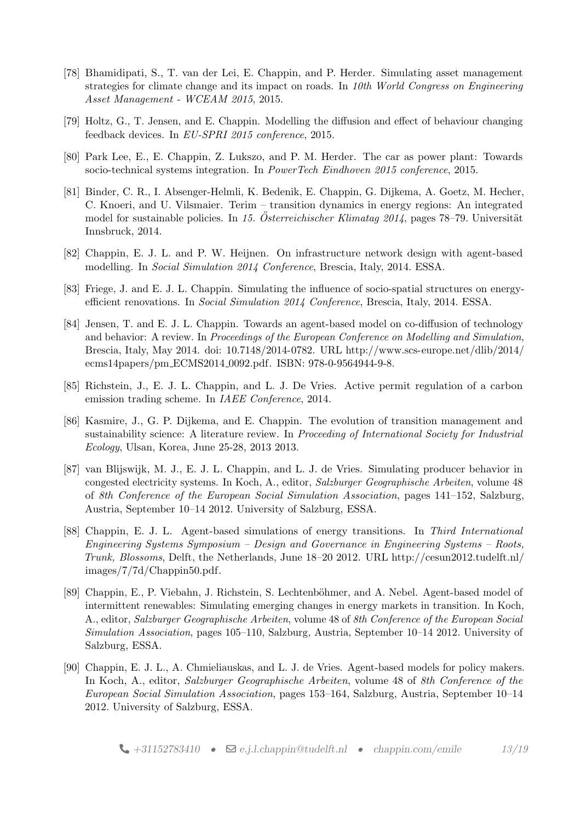- [78] Bhamidipati, S., T. van der Lei, E. Chappin, and P. Herder. Simulating asset management strategies for climate change and its impact on roads. In 10th World Congress on Engineering Asset Management - WCEAM 2015, 2015.
- [79] Holtz, G., T. Jensen, and E. Chappin. Modelling the diffusion and effect of behaviour changing feedback devices. In EU-SPRI 2015 conference, 2015.
- [80] Park Lee, E., E. Chappin, Z. Lukszo, and P. M. Herder. The car as power plant: Towards socio-technical systems integration. In PowerTech Eindhoven 2015 conference, 2015.
- [81] Binder, C. R., I. Absenger-Helmli, K. Bedenik, E. Chappin, G. Dijkema, A. Goetz, M. Hecher, C. Knoeri, and U. Vilsmaier. Terim – transition dynamics in energy regions: An integrated model for sustainable policies. In 15. Österreichischer Klimatag  $2014$ , pages 78–79. Universität Innsbruck, 2014.
- [82] Chappin, E. J. L. and P. W. Heijnen. On infrastructure network design with agent-based modelling. In Social Simulation 2014 Conference, Brescia, Italy, 2014. ESSA.
- [83] Friege, J. and E. J. L. Chappin. Simulating the influence of socio-spatial structures on energyefficient renovations. In Social Simulation 2014 Conference, Brescia, Italy, 2014. ESSA.
- [84] Jensen, T. and E. J. L. Chappin. Towards an agent-based model on co-diffusion of technology and behavior: A review. In Proceedings of the European Conference on Modelling and Simulation. Brescia, Italy, May 2014. doi: 10.7148/2014-0782. URL [http://www.scs-europe.net/dlib/2014/](http://www.scs-europe.net/dlib/2014/ecms14papers/pm_ECMS2014_0092.pdf) [ecms14papers/pm](http://www.scs-europe.net/dlib/2014/ecms14papers/pm_ECMS2014_0092.pdf) ECMS2014 0092.pdf. ISBN: 978-0-9564944-9-8.
- [85] Richstein, J., E. J. L. Chappin, and L. J. De Vries. Active permit regulation of a carbon emission trading scheme. In IAEE Conference, 2014.
- [86] Kasmire, J., G. P. Dijkema, and E. Chappin. The evolution of transition management and sustainability science: A literature review. In Proceeding of International Society for Industrial Ecology, Ulsan, Korea, June 25-28, 2013 2013.
- [87] van Blijswijk, M. J., E. J. L. Chappin, and L. J. de Vries. Simulating producer behavior in congested electricity systems. In Koch, A., editor, Salzburger Geographische Arbeiten, volume 48 of 8th Conference of the European Social Simulation Association, pages 141–152, Salzburg, Austria, September 10–14 2012. University of Salzburg, ESSA.
- [88] Chappin, E. J. L. Agent-based simulations of energy transitions. In Third International Engineering Systems Symposium – Design and Governance in Engineering Systems – Roots, Trunk, Blossoms, Delft, the Netherlands, June 18–20 2012. URL [http://cesun2012.tudelft.nl/](http://cesun2012.tudelft.nl/images/7/7d/Chappin50.pdf) [images/7/7d/Chappin50.pdf.](http://cesun2012.tudelft.nl/images/7/7d/Chappin50.pdf)
- [89] Chappin, E., P. Viebahn, J. Richstein, S. Lechtenböhmer, and A. Nebel. Agent-based model of intermittent renewables: Simulating emerging changes in energy markets in transition. In Koch, A., editor, Salzburger Geographische Arbeiten, volume 48 of 8th Conference of the European Social Simulation Association, pages 105–110, Salzburg, Austria, September 10–14 2012. University of Salzburg, ESSA.
- [90] Chappin, E. J. L., A. Chmieliauskas, and L. J. de Vries. Agent-based models for policy makers. In Koch, A., editor, Salzburger Geographische Arbeiten, volume 48 of 8th Conference of the European Social Simulation Association, pages 153–164, Salzburg, Austria, September 10–14 2012. University of Salzburg, ESSA.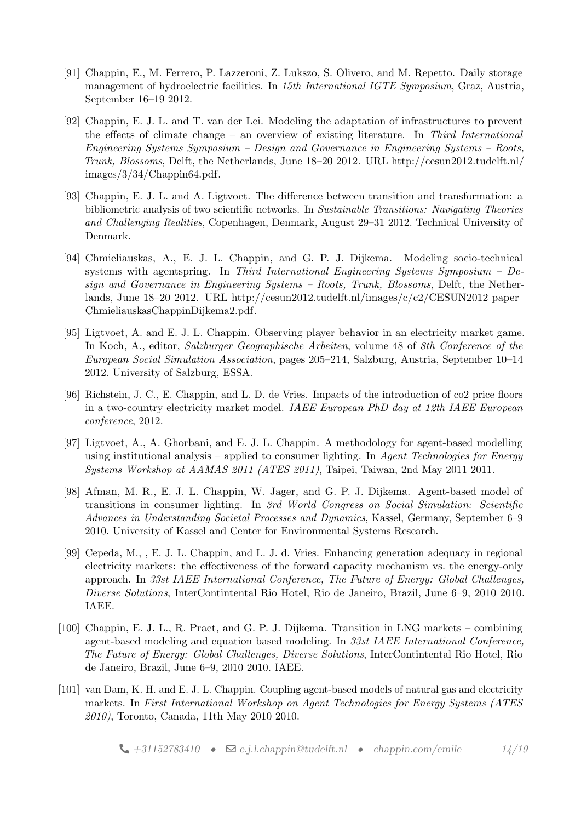- [91] Chappin, E., M. Ferrero, P. Lazzeroni, Z. Lukszo, S. Olivero, and M. Repetto. Daily storage management of hydroelectric facilities. In 15th International IGTE Symposium, Graz, Austria, September 16–19 2012.
- [92] Chappin, E. J. L. and T. van der Lei. Modeling the adaptation of infrastructures to prevent the effects of climate change – an overview of existing literature. In Third International Engineering Systems Symposium – Design and Governance in Engineering Systems – Roots, Trunk, Blossoms, Delft, the Netherlands, June 18–20 2012. URL [http://cesun2012.tudelft.nl/](http://cesun2012.tudelft.nl/images/3/34/Chappin64.pdf) [images/3/34/Chappin64.pdf.](http://cesun2012.tudelft.nl/images/3/34/Chappin64.pdf)
- [93] Chappin, E. J. L. and A. Ligtvoet. The difference between transition and transformation: a bibliometric analysis of two scientific networks. In Sustainable Transitions: Navigating Theories and Challenging Realities, Copenhagen, Denmark, August 29–31 2012. Technical University of Denmark.
- [94] Chmieliauskas, A., E. J. L. Chappin, and G. P. J. Dijkema. Modeling socio-technical systems with agentspring. In Third International Engineering Systems Symposium – Design and Governance in Engineering Systems – Roots, Trunk, Blossoms, Delft, the Netherlands, June 18–20 2012. URL [http://cesun2012.tudelft.nl/images/c/c2/CESUN2012](http://cesun2012.tudelft.nl/images/c/c2/CESUN2012_paper_ChmieliauskasChappinDijkema2.pdf) paper [ChmieliauskasChappinDijkema2.pdf.](http://cesun2012.tudelft.nl/images/c/c2/CESUN2012_paper_ChmieliauskasChappinDijkema2.pdf)
- [95] Ligtvoet, A. and E. J. L. Chappin. Observing player behavior in an electricity market game. In Koch, A., editor, Salzburger Geographische Arbeiten, volume 48 of 8th Conference of the European Social Simulation Association, pages 205–214, Salzburg, Austria, September 10–14 2012. University of Salzburg, ESSA.
- [96] Richstein, J. C., E. Chappin, and L. D. de Vries. Impacts of the introduction of co2 price floors in a two-country electricity market model. IAEE European PhD day at 12th IAEE European conference, 2012.
- [97] Ligtvoet, A., A. Ghorbani, and E. J. L. Chappin. A methodology for agent-based modelling using institutional analysis – applied to consumer lighting. In Agent Technologies for Energy Systems Workshop at AAMAS 2011 (ATES 2011), Taipei, Taiwan, 2nd May 2011 2011.
- [98] Afman, M. R., E. J. L. Chappin, W. Jager, and G. P. J. Dijkema. Agent-based model of transitions in consumer lighting. In 3rd World Congress on Social Simulation: Scientific Advances in Understanding Societal Processes and Dynamics, Kassel, Germany, September 6–9 2010. University of Kassel and Center for Environmental Systems Research.
- [99] Cepeda, M., , E. J. L. Chappin, and L. J. d. Vries. Enhancing generation adequacy in regional electricity markets: the effectiveness of the forward capacity mechanism vs. the energy-only approach. In 33st IAEE International Conference, The Future of Energy: Global Challenges, Diverse Solutions, InterContintental Rio Hotel, Rio de Janeiro, Brazil, June 6–9, 2010 2010. IAEE.
- [100] Chappin, E. J. L., R. Praet, and G. P. J. Dijkema. Transition in LNG markets combining agent-based modeling and equation based modeling. In 33st IAEE International Conference, The Future of Energy: Global Challenges, Diverse Solutions, InterContintental Rio Hotel, Rio de Janeiro, Brazil, June 6–9, 2010 2010. IAEE.
- [101] van Dam, K. H. and E. J. L. Chappin. Coupling agent-based models of natural gas and electricity markets. In First International Workshop on Agent Technologies for Energy Systems (ATES 2010), Toronto, Canada, 11th May 2010 2010.

 $\bigcup$  [+31152783410](tel:+31152783410) •  $\bigotimes$  [e.j.l.chappin@tudelft.nl](mailto:e.j.l.chappin@tudelft.nl) • [chappin.com/emile](http://chappin.com/emile) 14[/19](#page-15-0)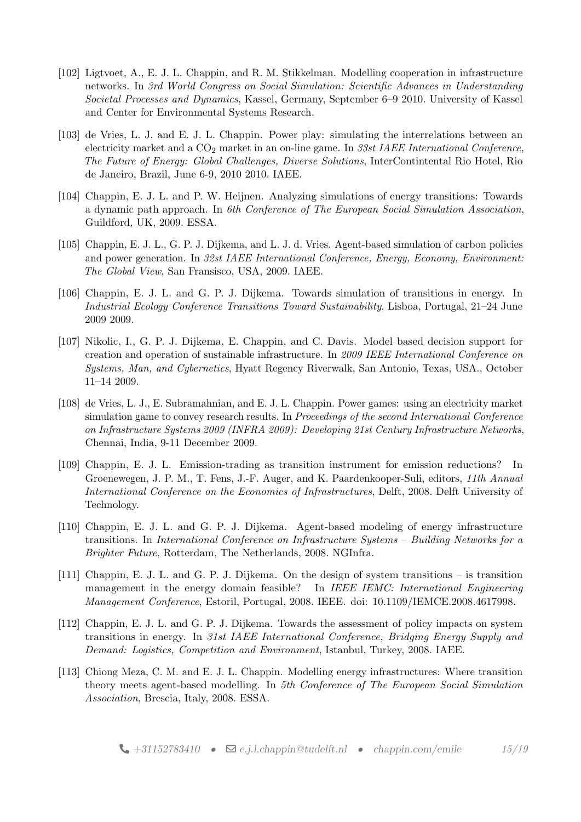- [102] Ligtvoet, A., E. J. L. Chappin, and R. M. Stikkelman. Modelling cooperation in infrastructure networks. In 3rd World Congress on Social Simulation: Scientific Advances in Understanding Societal Processes and Dynamics, Kassel, Germany, September 6–9 2010. University of Kassel and Center for Environmental Systems Research.
- [103] de Vries, L. J. and E. J. L. Chappin. Power play: simulating the interrelations between an electricity market and a  $CO<sub>2</sub>$  market in an on-line game. In 33st IAEE International Conference, The Future of Energy: Global Challenges, Diverse Solutions, InterContintental Rio Hotel, Rio de Janeiro, Brazil, June 6-9, 2010 2010. IAEE.
- [104] Chappin, E. J. L. and P. W. Heijnen. Analyzing simulations of energy transitions: Towards a dynamic path approach. In 6th Conference of The European Social Simulation Association, Guildford, UK, 2009. ESSA.
- [105] Chappin, E. J. L., G. P. J. Dijkema, and L. J. d. Vries. Agent-based simulation of carbon policies and power generation. In 32st IAEE International Conference, Energy, Economy, Environment: The Global View, San Fransisco, USA, 2009. IAEE.
- [106] Chappin, E. J. L. and G. P. J. Dijkema. Towards simulation of transitions in energy. In Industrial Ecology Conference Transitions Toward Sustainability, Lisboa, Portugal, 21–24 June 2009 2009.
- [107] Nikolic, I., G. P. J. Dijkema, E. Chappin, and C. Davis. Model based decision support for creation and operation of sustainable infrastructure. In 2009 IEEE International Conference on Systems, Man, and Cybernetics, Hyatt Regency Riverwalk, San Antonio, Texas, USA., October 11–14 2009.
- <span id="page-14-0"></span>[108] de Vries, L. J., E. Subramahnian, and E. J. L. Chappin. Power games: using an electricity market simulation game to convey research results. In *Proceedings of the second International Conference* on Infrastructure Systems 2009 (INFRA 2009): Developing 21st Century Infrastructure Networks, Chennai, India, 9-11 December 2009.
- [109] Chappin, E. J. L. Emission-trading as transition instrument for emission reductions? In Groenewegen, J. P. M., T. Fens, J.-F. Auger, and K. Paardenkooper-Suli, editors, 11th Annual International Conference on the Economics of Infrastructures, Delft, 2008. Delft University of Technology.
- [110] Chappin, E. J. L. and G. P. J. Dijkema. Agent-based modeling of energy infrastructure transitions. In International Conference on Infrastructure Systems – Building Networks for a Brighter Future, Rotterdam, The Netherlands, 2008. NGInfra.
- [111] Chappin, E. J. L. and G. P. J. Dijkema. On the design of system transitions is transition management in the energy domain feasible? In IEEE IEMC: International Engineering Management Conference, Estoril, Portugal, 2008. IEEE. doi: 10.1109/IEMCE.2008.4617998.
- [112] Chappin, E. J. L. and G. P. J. Dijkema. Towards the assessment of policy impacts on system transitions in energy. In 31st IAEE International Conference, Bridging Energy Supply and Demand: Logistics, Competition and Environment, Istanbul, Turkey, 2008. IAEE.
- [113] Chiong Meza, C. M. and E. J. L. Chappin. Modelling energy infrastructures: Where transition theory meets agent-based modelling. In 5th Conference of The European Social Simulation Association, Brescia, Italy, 2008. ESSA.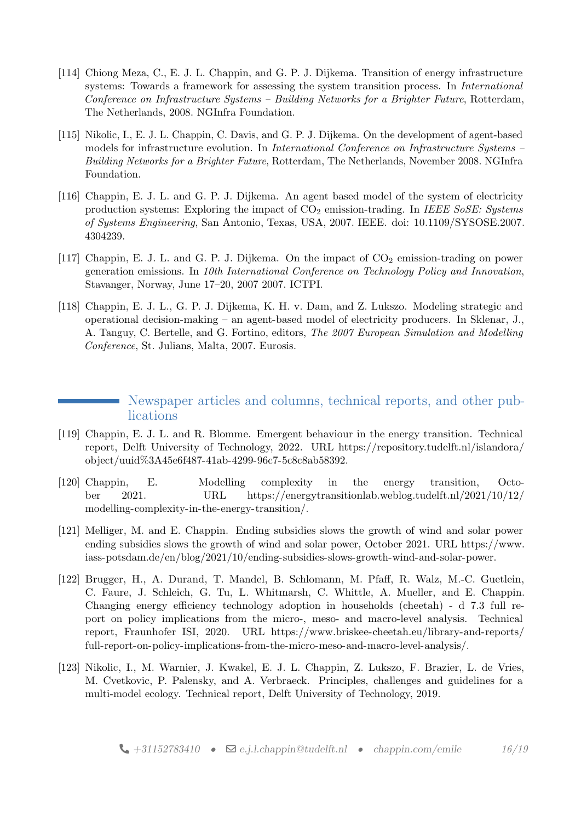- [114] Chiong Meza, C., E. J. L. Chappin, and G. P. J. Dijkema. Transition of energy infrastructure systems: Towards a framework for assessing the system transition process. In *International* Conference on Infrastructure Systems – Building Networks for a Brighter Future, Rotterdam, The Netherlands, 2008. NGInfra Foundation.
- [115] Nikolic, I., E. J. L. Chappin, C. Davis, and G. P. J. Dijkema. On the development of agent-based models for infrastructure evolution. In International Conference on Infrastructure Systems – Building Networks for a Brighter Future, Rotterdam, The Netherlands, November 2008. NGInfra Foundation.
- [116] Chappin, E. J. L. and G. P. J. Dijkema. An agent based model of the system of electricity production systems: Exploring the impact of  $CO<sub>2</sub>$  emission-trading. In IEEE SoSE: Systems of Systems Engineering, San Antonio, Texas, USA, 2007. IEEE. doi: 10.1109/SYSOSE.2007. 4304239.
- [117] Chappin, E. J. L. and G. P. J. Dijkema. On the impact of  $CO<sub>2</sub>$  emission-trading on power generation emissions. In 10th International Conference on Technology Policy and Innovation, Stavanger, Norway, June 17–20, 2007 2007. ICTPI.
- [118] Chappin, E. J. L., G. P. J. Dijkema, K. H. v. Dam, and Z. Lukszo. Modeling strategic and operational decision-making – an agent-based model of electricity producers. In Sklenar, J., A. Tanguy, C. Bertelle, and G. Fortino, editors, The 2007 European Simulation and Modelling Conference, St. Julians, Malta, 2007. Eurosis.

# Newspaper articles and columns, technical reports, and other publications

- <span id="page-15-1"></span><span id="page-15-0"></span>[119] Chappin, E. J. L. and R. Blomme. Emergent behaviour in the energy transition. Technical report, Delft University of Technology, 2022. URL [https://repository.tudelft.nl/islandora/](https://repository.tudelft.nl/islandora/object/uuid%3A45e6f487-41ab-4299-96c7-5c8c8ab58392) [object/uuid%3A45e6f487-41ab-4299-96c7-5c8c8ab58392.](https://repository.tudelft.nl/islandora/object/uuid%3A45e6f487-41ab-4299-96c7-5c8c8ab58392)
- [120] Chappin, E. Modelling complexity in the energy transition, October 2021. URL [https://energytransitionlab.weblog.tudelft.nl/2021/10/12/](https://energytransitionlab.weblog.tudelft.nl/2021/10/12/modelling-complexity-in-the-energy-transition/) [modelling-complexity-in-the-energy-transition/.](https://energytransitionlab.weblog.tudelft.nl/2021/10/12/modelling-complexity-in-the-energy-transition/)
- [121] Melliger, M. and E. Chappin. Ending subsidies slows the growth of wind and solar power ending subsidies slows the growth of wind and solar power, October 2021. URL [https://www.](https://www.iass-potsdam.de/en/blog/2021/10/ending-subsidies-slows-growth-wind-and-solar-power) [iass-potsdam.de/en/blog/2021/10/ending-subsidies-slows-growth-wind-and-solar-power.](https://www.iass-potsdam.de/en/blog/2021/10/ending-subsidies-slows-growth-wind-and-solar-power)
- [122] Brugger, H., A. Durand, T. Mandel, B. Schlomann, M. Pfaff, R. Walz, M.-C. Guetlein, C. Faure, J. Schleich, G. Tu, L. Whitmarsh, C. Whittle, A. Mueller, and E. Chappin. Changing energy efficiency technology adoption in households (cheetah) - d 7.3 full report on policy implications from the micro-, meso- and macro-level analysis. Technical report, Fraunhofer ISI, 2020. URL [https://www.briskee-cheetah.eu/library-and-reports/](https://www.briskee-cheetah.eu/library-and-reports/full-report-on-policy-implications-from-the-micro-meso-and-macro-level-analysis/) [full-report-on-policy-implications-from-the-micro-meso-and-macro-level-analysis/.](https://www.briskee-cheetah.eu/library-and-reports/full-report-on-policy-implications-from-the-micro-meso-and-macro-level-analysis/)
- [123] Nikolic, I., M. Warnier, J. Kwakel, E. J. L. Chappin, Z. Lukszo, F. Brazier, L. de Vries, M. Cvetkovic, P. Palensky, and A. Verbraeck. Principles, challenges and guidelines for a multi-model ecology. Technical report, Delft University of Technology, 2019.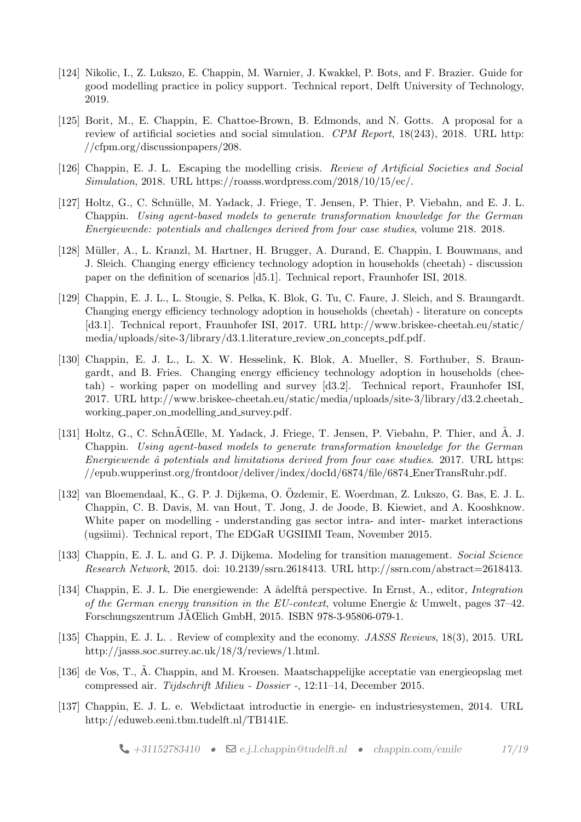- [124] Nikolic, I., Z. Lukszo, E. Chappin, M. Warnier, J. Kwakkel, P. Bots, and F. Brazier. Guide for good modelling practice in policy support. Technical report, Delft University of Technology, 2019.
- [125] Borit, M., E. Chappin, E. Chattoe-Brown, B. Edmonds, and N. Gotts. A proposal for a review of artificial societies and social simulation. CPM Report, 18(243), 2018. URL [http:](http://cfpm.org/discussionpapers/208) [//cfpm.org/discussionpapers/208.](http://cfpm.org/discussionpapers/208)
- [126] Chappin, E. J. L. Escaping the modelling crisis. Review of Artificial Societies and Social Simulation, 2018. URL [https://roasss.wordpress.com/2018/10/15/ec/.](https://roasss.wordpress.com/2018/10/15/ec/)
- [127] Holtz, G., C. Schnülle, M. Yadack, J. Friege, T. Jensen, P. Thier, P. Viebahn, and E. J. L. Chappin. Using agent-based models to generate transformation knowledge for the German Energiewende: potentials and challenges derived from four case studies, volume 218. 2018.
- [128] Müller, A., L. Kranzl, M. Hartner, H. Brugger, A. Durand, E. Chappin, I. Bouwmans, and J. Sleich. Changing energy efficiency technology adoption in households (cheetah) - discussion paper on the definition of scenarios [d5.1]. Technical report, Fraunhofer ISI, 2018.
- <span id="page-16-0"></span>[129] Chappin, E. J. L., L. Stougie, S. Pelka, K. Blok, G. Tu, C. Faure, J. Sleich, and S. Braungardt. Changing energy efficiency technology adoption in households (cheetah) - literature on concepts [d3.1]. Technical report, Fraunhofer ISI, 2017. URL [http://www.briskee-cheetah.eu/static/](http://www.briskee-cheetah.eu/static/media/uploads/site-3/library/d3.1.literature_review_on_concepts_pdf.pdf) [media/uploads/site-3/library/d3.1.literature](http://www.briskee-cheetah.eu/static/media/uploads/site-3/library/d3.1.literature_review_on_concepts_pdf.pdf)\_review\_on\_concepts\_pdf.pdf.
- <span id="page-16-1"></span>[130] Chappin, E. J. L., L. X. W. Hesselink, K. Blok, A. Mueller, S. Forthuber, S. Braungardt, and B. Fries. Changing energy efficiency technology adoption in households (cheetah) - working paper on modelling and survey [d3.2]. Technical report, Fraunhofer ISI, 2017. URL [http://www.briskee-cheetah.eu/static/media/uploads/site-3/library/d3.2.cheetah](http://www.briskee-cheetah.eu/static/media/uploads/site-3/library/d3.2.cheetah_working_paper_on_modelling_and_survey.pdf) working paper on modelling and [survey.pdf.](http://www.briskee-cheetah.eu/static/media/uploads/site-3/library/d3.2.cheetah_working_paper_on_modelling_and_survey.pdf)
- [131] Holtz, G., C. Schn $\tilde{A}$  Elle, M. Yadack, J. Friege, T. Jensen, P. Viebahn, P. Thier, and  $\tilde{A}$ . J. Chappin. Using agent-based models to generate transformation knowledge for the German Energiewende  $\hat{a}$  potentials and limitations derived from four case studies. 2017. URL [https:](https://epub.wupperinst.org/frontdoor/deliver/index/docId/6874/file/6874_EnerTransRuhr.pdf) [//epub.wupperinst.org/frontdoor/deliver/index/docId/6874/file/6874](https://epub.wupperinst.org/frontdoor/deliver/index/docId/6874/file/6874_EnerTransRuhr.pdf) EnerTransRuhr.pdf.
- [132] van Bloemendaal, K., G. P. J. Dijkema, O. Ozdemir, E. Woerdman, Z. Lukszo, G. Bas, E. J. L. ¨ Chappin, C. B. Davis, M. van Hout, T. Jong, J. de Joode, B. Kiewiet, and A. Kooshknow. White paper on modelling - understanding gas sector intra- and inter- market interactions (ugsiimi). Technical report, The EDGaR UGSIIMI Team, November 2015.
- [133] Chappin, E. J. L. and G. P. J. Dijkema. Modeling for transition management. Social Science Research Network, 2015. doi: 10.2139/ssrn.2618413. URL [http://ssrn.com/abstract=2618413.](http://ssrn.com/abstract=2618413)
- [134] Chappin, E. J. L. Die energiewende: A âdelftâ perspective. In Ernst, A., editor, *Integration* of the German energy transition in the  $EU\text{-}context$ , volume Energie & Umwelt, pages 37–42. Forschungszentrum JAŒlich GmbH, 2015. ISBN 978-3-95806-079-1.
- [135] Chappin, E. J. L. . Review of complexity and the economy. *JASSS Reviews*, 18(3), 2015. URL [http://jasss.soc.surrey.ac.uk/18/3/reviews/1.html.](http://jasss.soc.surrey.ac.uk/18/3/reviews/1.html)
- [136] de Vos, T., A. Chappin, and M. Kroesen. Maatschappelijke acceptatie van energieopslag met compressed air. Tijdschrift Milieu - Dossier -, 12:11–14, December 2015.
- <span id="page-16-2"></span>[137] Chappin, E. J. L. e. Webdictaat introductie in energie- en industriesystemen, 2014. URL [http://eduweb.eeni.tbm.tudelft.nl/TB141E.](http://eduweb.eeni.tbm.tudelft.nl/TB141E)

 $\bigcup$  [+31152783410](tel:+31152783410) •  $\bigotimes$  [e.j.l.chappin@tudelft.nl](mailto:e.j.l.chappin@tudelft.nl) • [chappin.com/emile](http://chappin.com/emile) 17[/19](#page-15-0)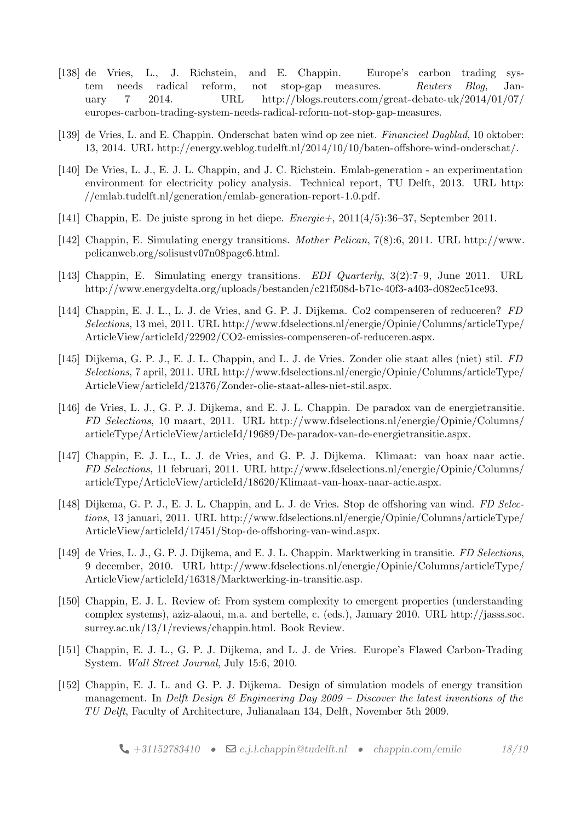- [138] de Vries, L., J. Richstein, and E. Chappin. Europe's carbon trading system needs radical reform, not stop-gap measures. Reuters Blog, January 7 2014. URL [http://blogs.reuters.com/great-debate-uk/2014/01/07/](http://blogs.reuters.com/great-debate-uk/2014/01/07/europes-carbon-trading-system-needs-radical-reform-not-stop-gap-measures) [europes-carbon-trading-system-needs-radical-reform-not-stop-gap-measures.](http://blogs.reuters.com/great-debate-uk/2014/01/07/europes-carbon-trading-system-needs-radical-reform-not-stop-gap-measures)
- [139] de Vries, L. and E. Chappin. Onderschat baten wind op zee niet. Financieel Dagblad, 10 oktober: 13, 2014. URL [http://energy.weblog.tudelft.nl/2014/10/10/baten-offshore-wind-onderschat/.](http://energy.weblog.tudelft.nl/2014/10/10/baten-offshore-wind-onderschat/)
- [140] De Vries, L. J., E. J. L. Chappin, and J. C. Richstein. Emlab-generation an experimentation environment for electricity policy analysis. Technical report, TU Delft, 2013. URL [http:](http://emlab.tudelft.nl/generation/emlab-generation-report-1.0.pdf) [//emlab.tudelft.nl/generation/emlab-generation-report-1.0.pdf.](http://emlab.tudelft.nl/generation/emlab-generation-report-1.0.pdf)
- [141] Chappin, E. De juiste sprong in het diepe. Energie+, 2011(4/5):36–37, September 2011.
- [142] Chappin, E. Simulating energy transitions. Mother Pelican, 7(8):6, 2011. URL [http://www.](http://www.pelicanweb.org/solisustv07n08page6.html) [pelicanweb.org/solisustv07n08page6.html.](http://www.pelicanweb.org/solisustv07n08page6.html)
- [143] Chappin, E. Simulating energy transitions. EDI Quarterly, 3(2):7–9, June 2011. URL [http://www.energydelta.org/uploads/bestanden/c21f508d-b71c-40f3-a403-d082ec51ce93.](http://www.energydelta.org/uploads/bestanden/c21f508d-b71c-40f3-a403-d082ec51ce93)
- [144] Chappin, E. J. L., L. J. de Vries, and G. P. J. Dijkema. Co2 compenseren of reduceren? FD Selections, 13 mei, 2011. URL [http://www.fdselections.nl/energie/Opinie/Columns/articleType/](http://www.fdselections.nl/energie/Opinie/Columns/articleType/ArticleView/articleId/22902/CO2-emissies-compenseren-of-reduceren.aspx) [ArticleView/articleId/22902/CO2-emissies-compenseren-of-reduceren.aspx.](http://www.fdselections.nl/energie/Opinie/Columns/articleType/ArticleView/articleId/22902/CO2-emissies-compenseren-of-reduceren.aspx)
- [145] Dijkema, G. P. J., E. J. L. Chappin, and L. J. de Vries. Zonder olie staat alles (niet) stil. FD Selections, 7 april, 2011. URL [http://www.fdselections.nl/energie/Opinie/Columns/articleType/](http://www.fdselections.nl/energie/Opinie/Columns/articleType/ArticleView/articleId/21376/Zonder-olie-staat-alles-niet-stil.aspx) [ArticleView/articleId/21376/Zonder-olie-staat-alles-niet-stil.aspx.](http://www.fdselections.nl/energie/Opinie/Columns/articleType/ArticleView/articleId/21376/Zonder-olie-staat-alles-niet-stil.aspx)
- [146] de Vries, L. J., G. P. J. Dijkema, and E. J. L. Chappin. De paradox van de energietransitie. FD Selections, 10 maart, 2011. URL [http://www.fdselections.nl/energie/Opinie/Columns/](http://www.fdselections.nl/energie/Opinie/Columns/articleType/ArticleView/articleId/19689/De-paradox-van-de-energietransitie.aspx) [articleType/ArticleView/articleId/19689/De-paradox-van-de-energietransitie.aspx.](http://www.fdselections.nl/energie/Opinie/Columns/articleType/ArticleView/articleId/19689/De-paradox-van-de-energietransitie.aspx)
- [147] Chappin, E. J. L., L. J. de Vries, and G. P. J. Dijkema. Klimaat: van hoax naar actie. FD Selections, 11 februari, 2011. URL [http://www.fdselections.nl/energie/Opinie/Columns/](http://www.fdselections.nl/energie/Opinie/Columns/articleType/ArticleView/articleId/18620/Klimaat-van-hoax-naar-actie.aspx) [articleType/ArticleView/articleId/18620/Klimaat-van-hoax-naar-actie.aspx.](http://www.fdselections.nl/energie/Opinie/Columns/articleType/ArticleView/articleId/18620/Klimaat-van-hoax-naar-actie.aspx)
- [148] Dijkema, G. P. J., E. J. L. Chappin, and L. J. de Vries. Stop de offshoring van wind. FD Selections, 13 januari, 2011. URL [http://www.fdselections.nl/energie/Opinie/Columns/articleType/](http://www.fdselections.nl/energie/Opinie/Columns/articleType/ArticleView/articleId/17451/Stop-de-offshoring-van-wind.aspx) [ArticleView/articleId/17451/Stop-de-offshoring-van-wind.aspx.](http://www.fdselections.nl/energie/Opinie/Columns/articleType/ArticleView/articleId/17451/Stop-de-offshoring-van-wind.aspx)
- [149] de Vries, L. J., G. P. J. Dijkema, and E. J. L. Chappin. Marktwerking in transitie. FD Selections, 9 december, 2010. URL [http://www.fdselections.nl/energie/Opinie/Columns/articleType/](http://www.fdselections.nl/energie/Opinie/Columns/articleType/ArticleView/articleId/16318/Marktwerking-in-transitie.asp) [ArticleView/articleId/16318/Marktwerking-in-transitie.asp.](http://www.fdselections.nl/energie/Opinie/Columns/articleType/ArticleView/articleId/16318/Marktwerking-in-transitie.asp)
- [150] Chappin, E. J. L. Review of: From system complexity to emergent properties (understanding complex systems), aziz-alaoui, m.a. and bertelle, c. (eds.), January 2010. URL [http://jasss.soc.](http://jasss.soc.surrey.ac.uk/13/1/reviews/chappin.html) [surrey.ac.uk/13/1/reviews/chappin.html.](http://jasss.soc.surrey.ac.uk/13/1/reviews/chappin.html) Book Review.
- [151] Chappin, E. J. L., G. P. J. Dijkema, and L. J. de Vries. Europe's Flawed Carbon-Trading System. Wall Street Journal, July 15:6, 2010.
- [152] Chappin, E. J. L. and G. P. J. Dijkema. Design of simulation models of energy transition management. In Delft Design  $\mathcal{C}'$  Engineering Day 2009 – Discover the latest inventions of the TU Delft, Faculty of Architecture, Julianalaan 134, Delft, November 5th 2009.